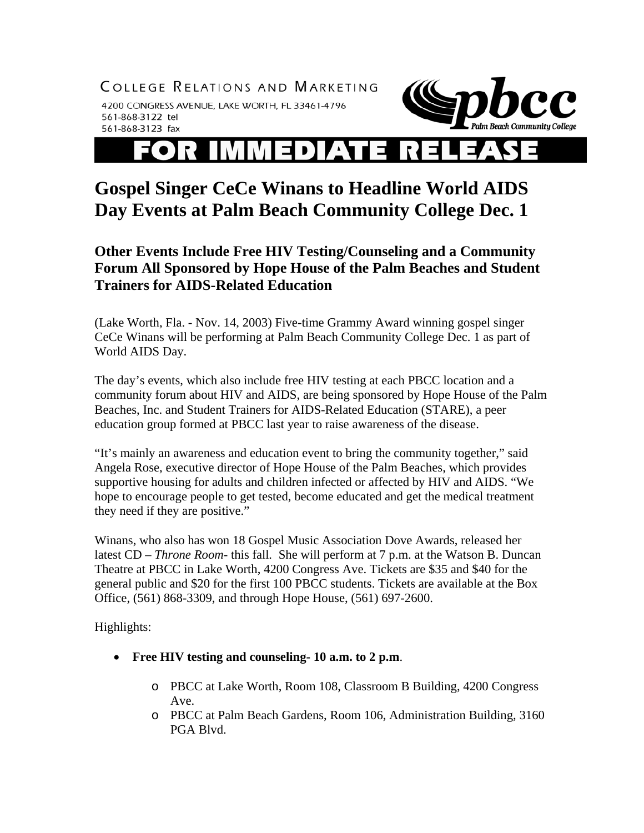COLLEGE RELATIONS AND MARKETING

4200 CONGRESS AVENUE, LAKE WORTH, FL 33461-4796 561-868-3122 tel 561-868-3123 fax



## IMMEDIAT  $\bullet$   $\bullet$ ▎⊐

## **Gospel Singer CeCe Winans to Headline World AIDS Day Events at Palm Beach Community College Dec. 1**

**Other Events Include Free HIV Testing/Counseling and a Community Forum All Sponsored by Hope House of the Palm Beaches and Student Trainers for AIDS-Related Education** 

(Lake Worth, Fla. - Nov. 14, 2003) Five-time Grammy Award winning gospel singer CeCe Winans will be performing at Palm Beach Community College Dec. 1 as part of World AIDS Day.

The day's events, which also include free HIV testing at each PBCC location and a community forum about HIV and AIDS, are being sponsored by Hope House of the Palm Beaches, Inc. and Student Trainers for AIDS-Related Education (STARE), a peer education group formed at PBCC last year to raise awareness of the disease.

"It's mainly an awareness and education event to bring the community together," said Angela Rose, executive director of Hope House of the Palm Beaches, which provides supportive housing for adults and children infected or affected by HIV and AIDS. "We hope to encourage people to get tested, become educated and get the medical treatment they need if they are positive."

Winans, who also has won 18 Gospel Music Association Dove Awards, released her latest CD – *Throne Room-* this fall*.* She will perform at 7 p.m. at the Watson B. Duncan Theatre at PBCC in Lake Worth, 4200 Congress Ave. Tickets are \$35 and \$40 for the general public and \$20 for the first 100 PBCC students. Tickets are available at the Box Office, (561) 868-3309, and through Hope House, (561) 697-2600.

Highlights:

- **Free HIV testing and counseling- 10 a.m. to 2 p.m**.
	- o PBCC at Lake Worth, Room 108, Classroom B Building, 4200 Congress Ave.
	- o PBCC at Palm Beach Gardens, Room 106, Administration Building, 3160 PGA Blvd.